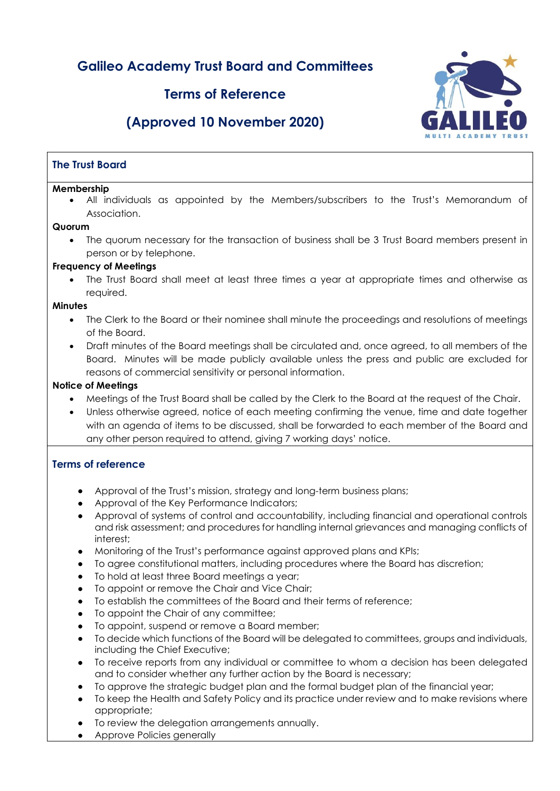# **Galileo Academy Trust Board and Committees**

# **Terms of Reference**

# **(Approved 10 November 2020)**



#### **Membership**

• All individuals as appointed by the Members/subscribers to the Trust's Memorandum of Association.

#### **Quorum**

• The quorum necessary for the transaction of business shall be 3 Trust Board members present in person or by telephone.

### **Frequency of Meetings**

The Trust Board shall meet at least three times a year at appropriate times and otherwise as required.

#### **Minutes**

- The Clerk to the Board or their nominee shall minute the proceedings and resolutions of meetings of the Board.
- Draft minutes of the Board meetings shall be circulated and, once agreed, to all members of the Board. Minutes will be made publicly available unless the press and public are excluded for reasons of commercial sensitivity or personal information.

### **Notice of Meetings**

- Meetings of the Trust Board shall be called by the Clerk to the Board at the request of the Chair.
- Unless otherwise agreed, notice of each meeting confirming the venue, time and date together with an agenda of items to be discussed, shall be forwarded to each member of the Board and any other person required to attend, giving 7 working days' notice.

# **Terms of reference**

- Approval of the Trust's mission, strategy and long-term business plans;
- Approval of the Key Performance Indicators:
- Approval of systems of control and accountability, including financial and operational controls and risk assessment; and procedures for handling internal grievances and managing conflicts of interest;
- Monitoring of the Trust's performance against approved plans and KPIs;
- To agree constitutional matters, including procedures where the Board has discretion;
- To hold at least three Board meetings a year;
- To appoint or remove the Chair and Vice Chair;
- To establish the committees of the Board and their terms of reference;
- To appoint the Chair of any committee;
- To appoint, suspend or remove a Board member;
- To decide which functions of the Board will be delegated to committees, groups and individuals, including the Chief Executive;
- To receive reports from any individual or committee to whom a decision has been delegated and to consider whether any further action by the Board is necessary;
	- To approve the strategic budget plan and the formal budget plan of the financial year;
- To keep the Health and Safety Policy and its practice under review and to make revisions where appropriate;
- To review the delegation arrangements annually.
- Approve Policies generally

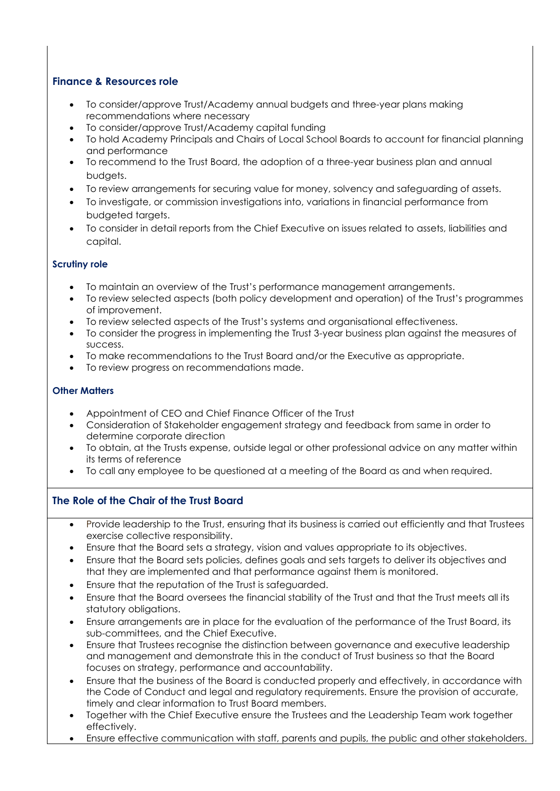# **Finance & Resources role**

- To consider/approve Trust/Academy annual budgets and three-year plans making recommendations where necessary
- To consider/approve Trust/Academy capital funding
- To hold Academy Principals and Chairs of Local School Boards to account for financial planning and performance
- To recommend to the Trust Board, the adoption of a three-year business plan and annual budgets.
- To review arrangements for securing value for money, solvency and safeguarding of assets.
- To investigate, or commission investigations into, variations in financial performance from budgeted targets.
- To consider in detail reports from the Chief Executive on issues related to assets, liabilities and capital.

### **Scrutiny role**

- To maintain an overview of the Trust's performance management arrangements.
- To review selected aspects (both policy development and operation) of the Trust's programmes of improvement.
- To review selected aspects of the Trust's systems and organisational effectiveness.
- To consider the progress in implementing the Trust 3-year business plan against the measures of success.
- To make recommendations to the Trust Board and/or the Executive as appropriate.
- To review progress on recommendations made.

# **Other Matters**

- Appointment of CEO and Chief Finance Officer of the Trust
- Consideration of Stakeholder engagement strategy and feedback from same in order to determine corporate direction
- To obtain, at the Trusts expense, outside legal or other professional advice on any matter within its terms of reference
- To call any employee to be questioned at a meeting of the Board as and when required.

# **The Role of the Chair of the Trust Board**

- Provide leadership to the Trust, ensuring that its business is carried out efficiently and that Trustees exercise collective responsibility.
- Ensure that the Board sets a strategy, vision and values appropriate to its objectives.
- Ensure that the Board sets policies, defines goals and sets targets to deliver its objectives and that they are implemented and that performance against them is monitored.
- Ensure that the reputation of the Trust is safeguarded.
- Ensure that the Board oversees the financial stability of the Trust and that the Trust meets all its statutory obligations.
- Ensure arrangements are in place for the evaluation of the performance of the Trust Board, its sub-committees, and the Chief Executive.
- Ensure that Trustees recognise the distinction between governance and executive leadership and management and demonstrate this in the conduct of Trust business so that the Board focuses on strategy, performance and accountability.
- Ensure that the business of the Board is conducted properly and effectively, in accordance with the Code of Conduct and legal and regulatory requirements. Ensure the provision of accurate, timely and clear information to Trust Board members.
- Together with the Chief Executive ensure the Trustees and the Leadership Team work together effectively.
- Ensure effective communication with staff, parents and pupils, the public and other stakeholders.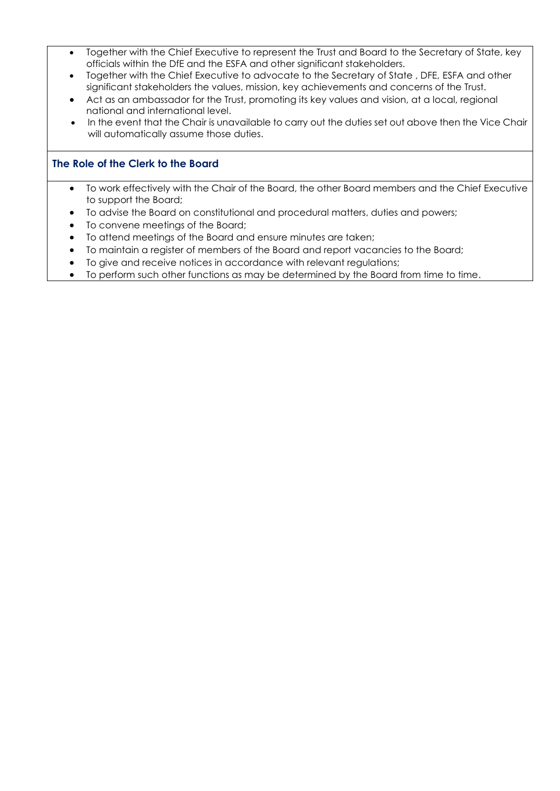- Together with the Chief Executive to represent the Trust and Board to the Secretary of State, key officials within the DfE and the ESFA and other significant stakeholders.
- Together with the Chief Executive to advocate to the Secretary of State , DFE, ESFA and other significant stakeholders the values, mission, key achievements and concerns of the Trust.
- Act as an ambassador for the Trust, promoting its key values and vision, at a local, regional national and international level.
- In the event that the Chair is unavailable to carry out the duties set out above then the Vice Chair will automatically assume those duties.

# **The Role of the Clerk to the Board**

- To work effectively with the Chair of the Board, the other Board members and the Chief Executive to support the Board;
- To advise the Board on constitutional and procedural matters, duties and powers;
- To convene meetings of the Board;
- To attend meetings of the Board and ensure minutes are taken;
- To maintain a register of members of the Board and report vacancies to the Board;
- To give and receive notices in accordance with relevant regulations;
- To perform such other functions as may be determined by the Board from time to time.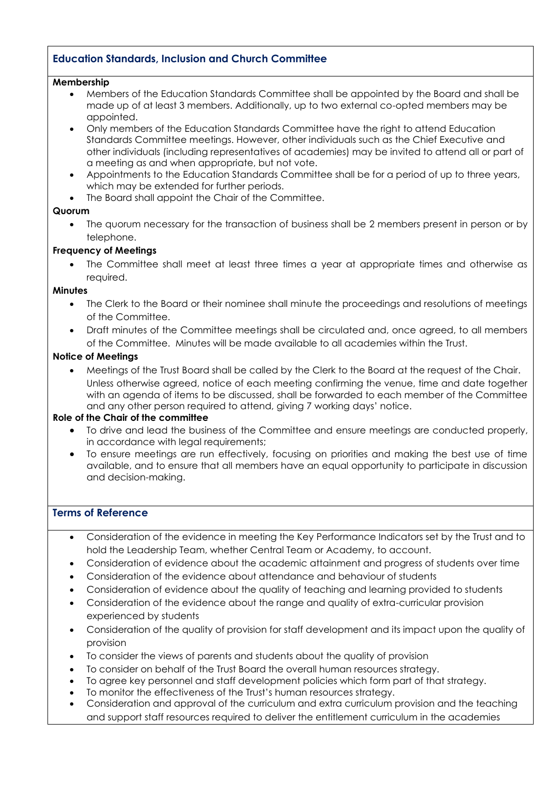# **Education Standards, Inclusion and Church Committee**

#### **Membership**

- Members of the Education Standards Committee shall be appointed by the Board and shall be made up of at least 3 members. Additionally, up to two external co-opted members may be appointed.
- Only members of the Education Standards Committee have the right to attend Education Standards Committee meetings. However, other individuals such as the Chief Executive and other individuals (including representatives of academies) may be invited to attend all or part of a meeting as and when appropriate, but not vote.
- Appointments to the Education Standards Committee shall be for a period of up to three years, which may be extended for further periods.
- The Board shall appoint the Chair of the Committee.

#### **Quorum**

• The quorum necessary for the transaction of business shall be 2 members present in person or by telephone.

#### **Frequency of Meetings**

The Committee shall meet at least three times a year at appropriate times and otherwise as required.

#### **Minutes**

- The Clerk to the Board or their nominee shall minute the proceedings and resolutions of meetings of the Committee.
- Draft minutes of the Committee meetings shall be circulated and, once agreed, to all members of the Committee. Minutes will be made available to all academies within the Trust.

#### **Notice of Meetings**

• Meetings of the Trust Board shall be called by the Clerk to the Board at the request of the Chair. Unless otherwise agreed, notice of each meeting confirming the venue, time and date together with an agenda of items to be discussed, shall be forwarded to each member of the Committee and any other person required to attend, giving 7 working days' notice.

#### **Role of the Chair of the committee**

- To drive and lead the business of the Committee and ensure meetings are conducted properly, in accordance with legal requirements;
- To ensure meetings are run effectively, focusing on priorities and making the best use of time available, and to ensure that all members have an equal opportunity to participate in discussion and decision-making.

### **Terms of Reference**

- Consideration of the evidence in meeting the Key Performance Indicators set by the Trust and to hold the Leadership Team, whether Central Team or Academy, to account.
- Consideration of evidence about the academic attainment and progress of students over time
- Consideration of the evidence about attendance and behaviour of students
- Consideration of evidence about the quality of teaching and learning provided to students
- Consideration of the evidence about the range and quality of extra-curricular provision experienced by students
- Consideration of the quality of provision for staff development and its impact upon the quality of provision
- To consider the views of parents and students about the quality of provision
- To consider on behalf of the Trust Board the overall human resources strategy.
- To agree key personnel and staff development policies which form part of that strategy.
- To monitor the effectiveness of the Trust's human resources strategy.
- Consideration and approval of the curriculum and extra curriculum provision and the teaching and support staff resources required to deliver the entitlement curriculum in the academies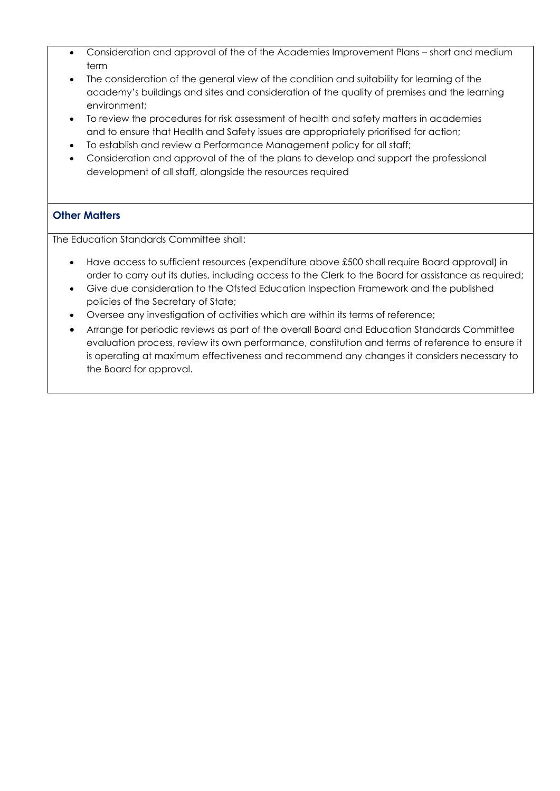- Consideration and approval of the of the Academies Improvement Plans short and medium term
- The consideration of the general view of the condition and suitability for learning of the academy's buildings and sites and consideration of the quality of premises and the learning environment;
- To review the procedures for risk assessment of health and safety matters in academies and to ensure that Health and Safety issues are appropriately prioritised for action;
- To establish and review a Performance Management policy for all staff;
- Consideration and approval of the of the plans to develop and support the professional development of all staff, alongside the resources required

# **Other Matters**

The Education Standards Committee shall:

- Have access to sufficient resources (expenditure above £500 shall require Board approval) in order to carry out its duties, including access to the Clerk to the Board for assistance as required;
- Give due consideration to the Ofsted Education Inspection Framework and the published policies of the Secretary of State;
- Oversee any investigation of activities which are within its terms of reference;
- Arrange for periodic reviews as part of the overall Board and Education Standards Committee evaluation process, review its own performance, constitution and terms of reference to ensure it is operating at maximum effectiveness and recommend any changes it considers necessary to the Board for approval.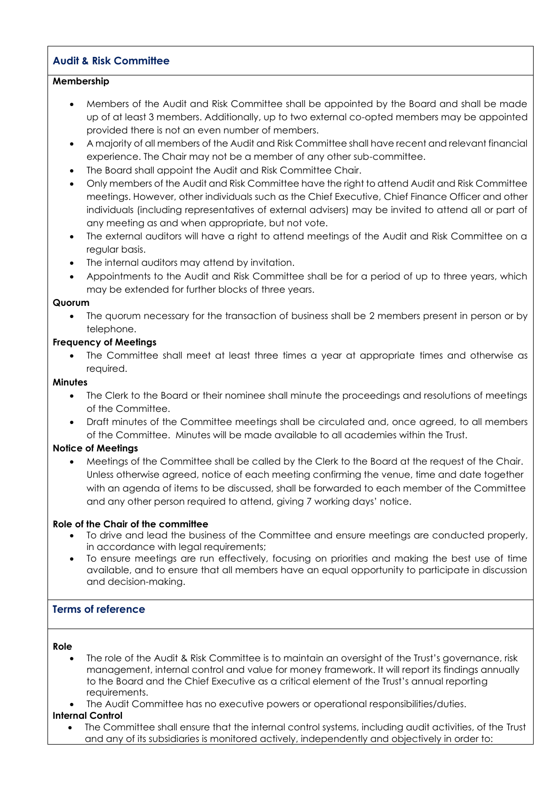# **Audit & Risk Committee**

#### **Membership**

- Members of the Audit and Risk Committee shall be appointed by the Board and shall be made up of at least 3 members. Additionally, up to two external co-opted members may be appointed provided there is not an even number of members.
- A majority of all members of the Audit and Risk Committee shall have recent and relevant financial experience. The Chair may not be a member of any other sub-committee.
- The Board shall appoint the Audit and Risk Committee Chair.
- Only members of the Audit and Risk Committee have the right to attend Audit and Risk Committee meetings. However, other individuals such as the Chief Executive, Chief Finance Officer and other individuals (including representatives of external advisers) may be invited to attend all or part of any meeting as and when appropriate, but not vote.
- The external auditors will have a right to attend meetings of the Audit and Risk Committee on a regular basis.
- The internal auditors may attend by invitation.
- Appointments to the Audit and Risk Committee shall be for a period of up to three years, which may be extended for further blocks of three years.

#### **Quorum**

• The quorum necessary for the transaction of business shall be 2 members present in person or by telephone.

#### **Frequency of Meetings**

• The Committee shall meet at least three times a year at appropriate times and otherwise as required.

#### **Minutes**

- The Clerk to the Board or their nominee shall minute the proceedings and resolutions of meetings of the Committee.
- Draft minutes of the Committee meetings shall be circulated and, once agreed, to all members of the Committee. Minutes will be made available to all academies within the Trust.

#### **Notice of Meetings**

• Meetings of the Committee shall be called by the Clerk to the Board at the request of the Chair. Unless otherwise agreed, notice of each meeting confirming the venue, time and date together with an agenda of items to be discussed, shall be forwarded to each member of the Committee and any other person required to attend, giving 7 working days' notice.

#### **Role of the Chair of the committee**

- To drive and lead the business of the Committee and ensure meetings are conducted properly, in accordance with legal requirements;
- To ensure meetings are run effectively, focusing on priorities and making the best use of time available, and to ensure that all members have an equal opportunity to participate in discussion and decision-making.

#### **Terms of reference**

#### **Role**

- The role of the Audit & Risk Committee is to maintain an oversight of the Trust's governance, risk management, internal control and value for money framework. It will report its findings annually to the Board and the Chief Executive as a critical element of the Trust's annual reporting requirements.
- The Audit Committee has no executive powers or operational responsibilities/duties.

#### **Internal Control**

• The Committee shall ensure that the internal control systems, including audit activities, of the Trust and any of its subsidiaries is monitored actively, independently and objectively in order to: